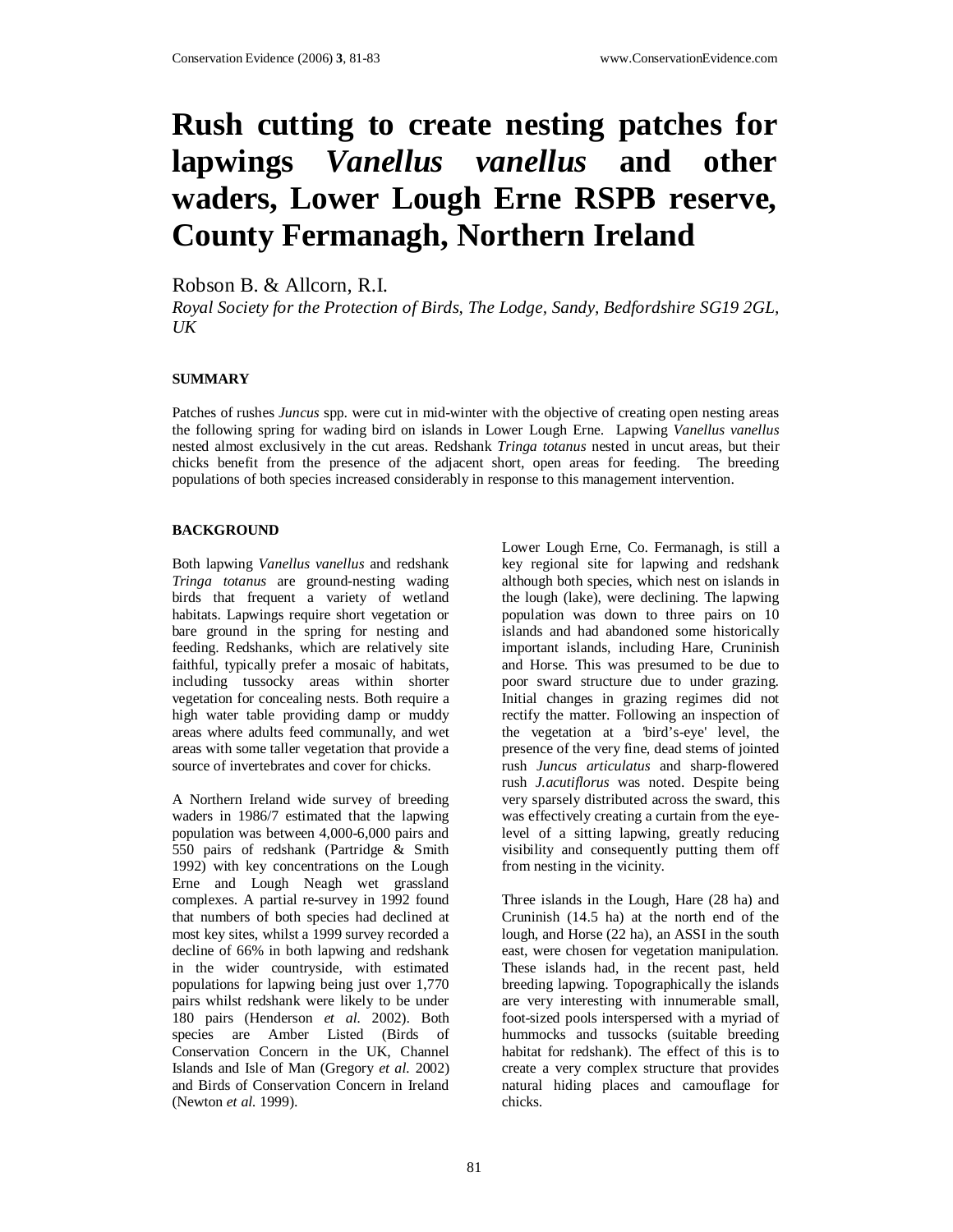# **Rush cutting to create nesting patches for lapwings** *Vanellus vanellus* **and other waders, Lower Lough Erne RSPB reserve, County Fermanagh, Northern Ireland**

Robson B. & Allcorn, R.I.

*Royal Society for the Protection of Birds, The Lodge, Sandy, Bedfordshire SG19 2GL, UK* 

## **SUMMARY**

Patches of rushes *Juncus* spp. were cut in mid-winter with the objective of creating open nesting areas the following spring for wading bird on islands in Lower Lough Erne. Lapwing *Vanellus vanellus* nested almost exclusively in the cut areas. Redshank *Tringa totanus* nested in uncut areas, but their chicks benefit from the presence of the adjacent short, open areas for feeding. The breeding populations of both species increased considerably in response to this management intervention.

## **BACKGROUND**

Both lapwing *Vanellus vanellus* and redshank *Tringa totanus* are ground-nesting wading birds that frequent a variety of wetland habitats. Lapwings require short vegetation or bare ground in the spring for nesting and feeding. Redshanks, which are relatively site faithful, typically prefer a mosaic of habitats, including tussocky areas within shorter vegetation for concealing nests. Both require a high water table providing damp or muddy areas where adults feed communally, and wet areas with some taller vegetation that provide a source of invertebrates and cover for chicks.

A Northern Ireland wide survey of breeding waders in 1986/7 estimated that the lapwing population was between 4,000-6,000 pairs and 550 pairs of redshank (Partridge & Smith 1992) with key concentrations on the Lough Erne and Lough Neagh wet grassland complexes. A partial re-survey in 1992 found that numbers of both species had declined at most key sites, whilst a 1999 survey recorded a decline of 66% in both lapwing and redshank in the wider countryside, with estimated populations for lapwing being just over 1,770 pairs whilst redshank were likely to be under 180 pairs (Henderson *et al.* 2002). Both species are Amber Listed (Birds of Conservation Concern in the UK, Channel Islands and Isle of Man (Gregory *et al.* 2002) and Birds of Conservation Concern in Ireland (Newton *et al.* 1999).

Lower Lough Erne, Co. Fermanagh, is still a key regional site for lapwing and redshank although both species, which nest on islands in the lough (lake), were declining. The lapwing population was down to three pairs on 10 islands and had abandoned some historically important islands, including Hare, Cruninish and Horse. This was presumed to be due to poor sward structure due to under grazing. Initial changes in grazing regimes did not rectify the matter. Following an inspection of the vegetation at a 'bird's-eye' level, the presence of the very fine, dead stems of jointed rush *Juncus articulatus* and sharp-flowered rush *J.acutiflorus* was noted. Despite being very sparsely distributed across the sward, this was effectively creating a curtain from the eyelevel of a sitting lapwing, greatly reducing visibility and consequently putting them off from nesting in the vicinity.

Three islands in the Lough, Hare (28 ha) and Cruninish (14.5 ha) at the north end of the lough, and Horse (22 ha), an ASSI in the south east, were chosen for vegetation manipulation. These islands had, in the recent past, held breeding lapwing. Topographically the islands are very interesting with innumerable small, foot-sized pools interspersed with a myriad of hummocks and tussocks (suitable breeding habitat for redshank). The effect of this is to create a very complex structure that provides natural hiding places and camouflage for chicks.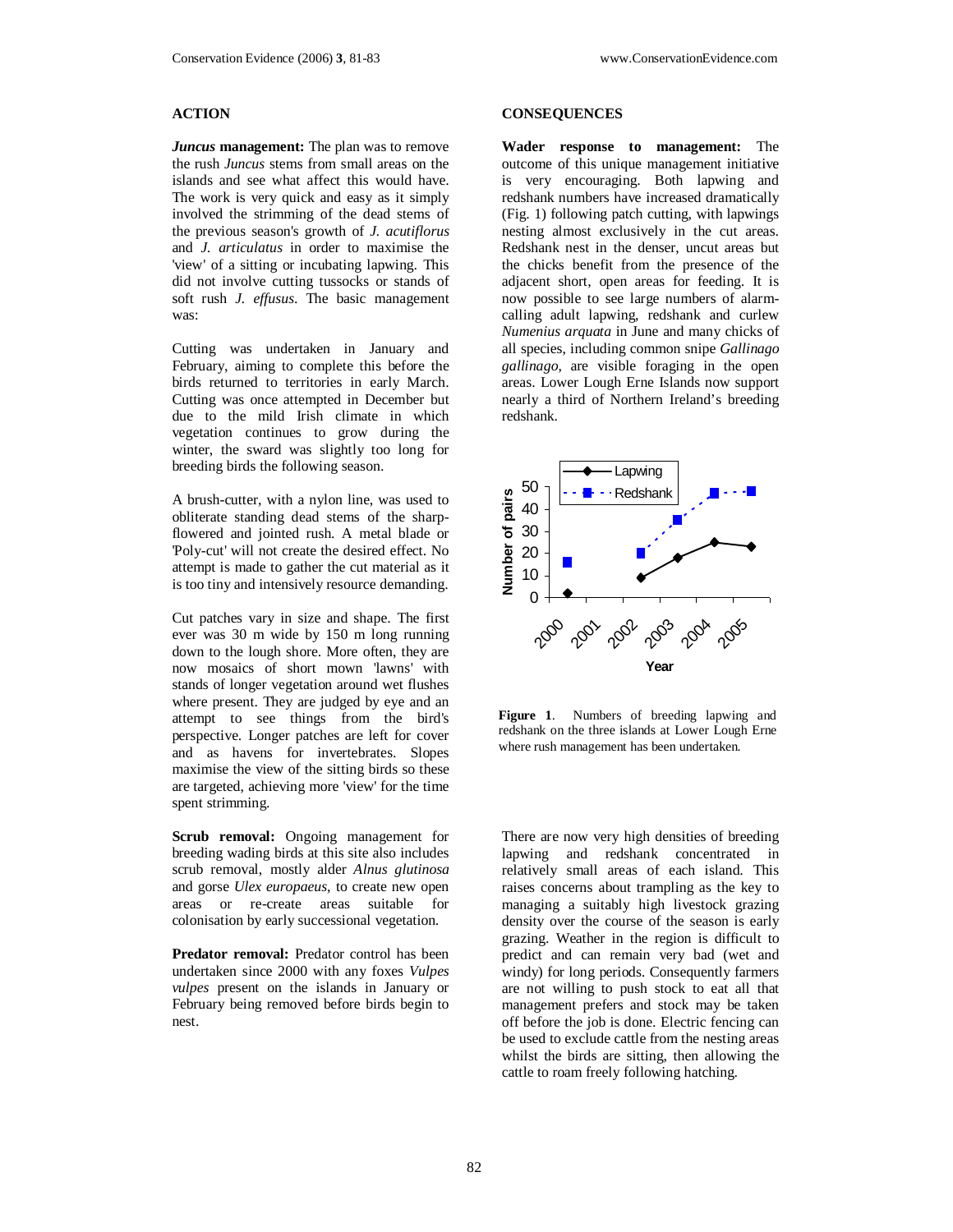## **ACTION**

*Juncus* **management:** The plan was to remove the rush *Juncus* stems from small areas on the islands and see what affect this would have. The work is very quick and easy as it simply involved the strimming of the dead stems of the previous season's growth of *J. acutiflorus* and *J. articulatus* in order to maximise the 'view' of a sitting or incubating lapwing. This did not involve cutting tussocks or stands of soft rush *J. effusus*. The basic management was:

Cutting was undertaken in January and February, aiming to complete this before the birds returned to territories in early March. Cutting was once attempted in December but due to the mild Irish climate in which vegetation continues to grow during the winter, the sward was slightly too long for breeding birds the following season.

A brush-cutter, with a nylon line, was used to obliterate standing dead stems of the sharpflowered and jointed rush. A metal blade or 'Poly-cut' will not create the desired effect. No attempt is made to gather the cut material as it is too tiny and intensively resource demanding.

Cut patches vary in size and shape. The first ever was 30 m wide by 150 m long running down to the lough shore. More often, they are now mosaics of short mown 'lawns' with stands of longer vegetation around wet flushes where present. They are judged by eye and an attempt to see things from the bird's perspective. Longer patches are left for cover and as havens for invertebrates. Slopes maximise the view of the sitting birds so these are targeted, achieving more 'view' for the time spent strimming.

**Scrub removal:** Ongoing management for breeding wading birds at this site also includes scrub removal, mostly alder *Alnus glutinosa* and gorse *Ulex europaeus*, to create new open areas or re-create areas suitable for colonisation by early successional vegetation.

**Predator removal:** Predator control has been undertaken since 2000 with any foxes *Vulpes vulpes* present on the islands in January or February being removed before birds begin to nest.

#### **CONSEQUENCES**

**Wader response to management:** The outcome of this unique management initiative is very encouraging. Both lapwing and redshank numbers have increased dramatically (Fig. 1) following patch cutting, with lapwings nesting almost exclusively in the cut areas. Redshank nest in the denser, uncut areas but the chicks benefit from the presence of the adjacent short, open areas for feeding. It is now possible to see large numbers of alarmcalling adult lapwing, redshank and curlew *Numenius arquata* in June and many chicks of all species, including common snipe *Gallinago gallinago*, are visible foraging in the open areas. Lower Lough Erne Islands now support nearly a third of Northern Ireland's breeding redshank.



**Figure 1**. Numbers of breeding lapwing and redshank on the three islands at Lower Lough Erne where rush management has been undertaken.

There are now very high densities of breeding lapwing and redshank concentrated in relatively small areas of each island. This raises concerns about trampling as the key to managing a suitably high livestock grazing density over the course of the season is early grazing. Weather in the region is difficult to predict and can remain very bad (wet and windy) for long periods. Consequently farmers are not willing to push stock to eat all that management prefers and stock may be taken off before the job is done. Electric fencing can be used to exclude cattle from the nesting areas whilst the birds are sitting, then allowing the cattle to roam freely following hatching.